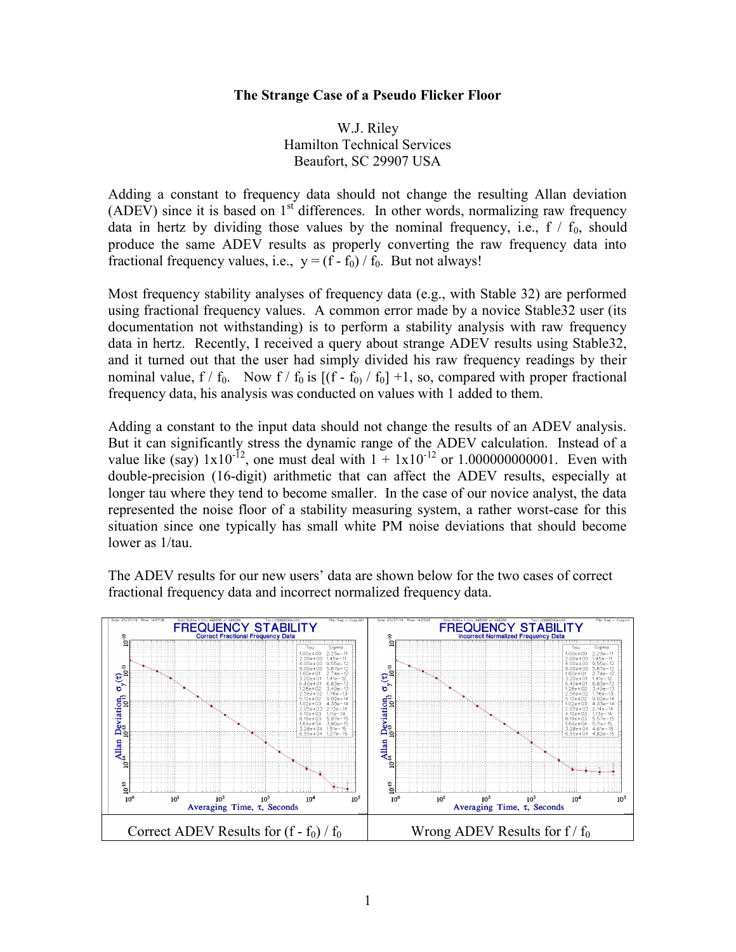## The Strange Case of a Pseudo Flicker Floor

W.J. Riley Hamilton Technical Services Beaufort, SC 29907 USA

Adding a constant to frequency data should not change the resulting Allan deviation (ADEV) since it is based on  $1<sup>st</sup>$  differences. In other words, normalizing raw frequency data in hertz by dividing those values by the nominal frequency, i.e.,  $f / f_0$ , should produce the same ADEV results as properly converting the raw frequency data into fractional frequency values, i.e.,  $y = (f - f_0) / f_0$ . But not always!

Most frequency stability analyses of frequency data (e.g., with Stable 32) are performed using fractional frequency values. A common error made by a novice Stable32 user (its documentation not withstanding) is to perform a stability analysis with raw frequency data in hertz. Recently, I received a query about strange ADEV results using Stable32, and it turned out that the user had simply divided his raw frequency readings by their nominal value, f /  $f_0$ . Now f /  $f_0$  is  $[(f - f_0) / f_0] + 1$ , so, compared with proper fractional frequency data, his analysis was conducted on values with 1 added to them.

Adding a constant to the input data should not change the results of an ADEV analysis. But it can significantly stress the dynamic range of the ADEV calculation. Instead of a value like (say)  $1x10^{-12}$ , one must deal with  $1 + 1x10^{-12}$  or 1.0000000000001. Even with double-precision (16-digit) arithmetic that can affect the ADEV results, especially at longer tau where they tend to become smaller. In the case of our novice analyst, the data represented the noise floor of a stability measuring system, a rather worst-case for this situation since one typically has small white PM noise deviations that should become lower as 1/tau.

The ADEV results for our new users' data are shown below for the two cases of correct fractional frequency data and incorrect normalized frequency data.